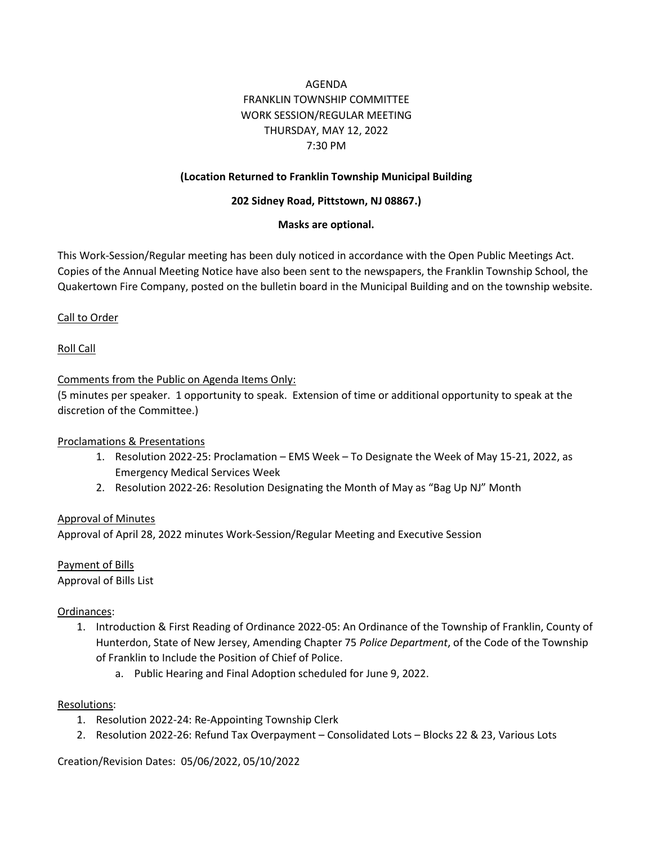# AGENDA FRANKLIN TOWNSHIP COMMITTEE WORK SESSION/REGULAR MEETING THURSDAY, MAY 12, 2022 7:30 PM

### **(Location Returned to Franklin Township Municipal Building**

#### **202 Sidney Road, Pittstown, NJ 08867.)**

#### **Masks are optional.**

This Work-Session/Regular meeting has been duly noticed in accordance with the Open Public Meetings Act. Copies of the Annual Meeting Notice have also been sent to the newspapers, the Franklin Township School, the Quakertown Fire Company, posted on the bulletin board in the Municipal Building and on the township website.

#### Call to Order

Roll Call

#### Comments from the Public on Agenda Items Only:

(5 minutes per speaker. 1 opportunity to speak. Extension of time or additional opportunity to speak at the discretion of the Committee.)

#### Proclamations & Presentations

- 1. Resolution 2022-25: Proclamation EMS Week To Designate the Week of May 15-21, 2022, as Emergency Medical Services Week
- 2. Resolution 2022-26: Resolution Designating the Month of May as "Bag Up NJ" Month

#### Approval of Minutes

Approval of April 28, 2022 minutes Work-Session/Regular Meeting and Executive Session

Payment of Bills Approval of Bills List

#### Ordinances:

- 1. Introduction & First Reading of Ordinance 2022-05: An Ordinance of the Township of Franklin, County of Hunterdon, State of New Jersey, Amending Chapter 75 *Police Department*, of the Code of the Township of Franklin to Include the Position of Chief of Police.
	- a. Public Hearing and Final Adoption scheduled for June 9, 2022.

#### Resolutions:

- 1. Resolution 2022-24: Re-Appointing Township Clerk
- 2. Resolution 2022-26: Refund Tax Overpayment Consolidated Lots Blocks 22 & 23, Various Lots

Creation/Revision Dates: 05/06/2022, 05/10/2022